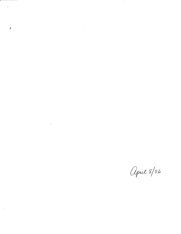$\label{eq:2.1} \frac{1}{2} \sum_{i=1}^n \frac{1}{2} \sum_{j=1}^n \frac{1}{2} \sum_{j=1}^n \frac{1}{2} \sum_{j=1}^n \frac{1}{2} \sum_{j=1}^n \frac{1}{2} \sum_{j=1}^n \frac{1}{2} \sum_{j=1}^n \frac{1}{2} \sum_{j=1}^n \frac{1}{2} \sum_{j=1}^n \frac{1}{2} \sum_{j=1}^n \frac{1}{2} \sum_{j=1}^n \frac{1}{2} \sum_{j=1}^n \frac{1}{2} \sum_{j=1}^n \frac{$  $\mathcal{I}$  $\label{eq:2.1} \frac{1}{\sqrt{2\pi}}\int_{\mathbb{R}^3}\frac{1}{\sqrt{2\pi}}\int_{\mathbb{R}^3}\frac{1}{\sqrt{2\pi}}\int_{\mathbb{R}^3}\frac{1}{\sqrt{2\pi}}\int_{\mathbb{R}^3}\frac{1}{\sqrt{2\pi}}\int_{\mathbb{R}^3}\frac{1}{\sqrt{2\pi}}\int_{\mathbb{R}^3}\frac{1}{\sqrt{2\pi}}\int_{\mathbb{R}^3}\frac{1}{\sqrt{2\pi}}\int_{\mathbb{R}^3}\frac{1}{\sqrt{2\pi}}\int_{\mathbb{R}^3}\frac{1$  $\label{eq:2.1} \frac{1}{\sqrt{2}}\int_{0}^{\infty}\frac{1}{\sqrt{2\pi}}\left(\frac{1}{\sqrt{2\pi}}\right)^{2\alpha} \frac{1}{\sqrt{2\pi}}\int_{0}^{\infty}\frac{1}{\sqrt{2\pi}}\left(\frac{1}{\sqrt{2\pi}}\right)^{\alpha} \frac{1}{\sqrt{2\pi}}\int_{0}^{\infty}\frac{1}{\sqrt{2\pi}}\frac{1}{\sqrt{2\pi}}\frac{1}{\sqrt{2\pi}}\frac{1}{\sqrt{2\pi}}\frac{1}{\sqrt{2\pi}}\frac{1}{\sqrt{2\pi}}\frac{1}{\sqrt{2\pi}}$  $\label{eq:2.1} \frac{1}{\sqrt{2}}\int_{\mathbb{R}^3}\frac{1}{\sqrt{2}}\left(\frac{1}{\sqrt{2}}\right)^2\frac{1}{\sqrt{2}}\left(\frac{1}{\sqrt{2}}\right)^2\frac{1}{\sqrt{2}}\left(\frac{1}{\sqrt{2}}\right)^2\frac{1}{\sqrt{2}}\left(\frac{1}{\sqrt{2}}\right)^2\frac{1}{\sqrt{2}}\left(\frac{1}{\sqrt{2}}\right)^2\frac{1}{\sqrt{2}}\frac{1}{\sqrt{2}}\frac{1}{\sqrt{2}}\frac{1}{\sqrt{2}}\frac{1}{\sqrt{2}}\frac{1}{\sqrt{2}}$  $\label{eq:2.1} \frac{1}{\sqrt{2\pi}}\int_{\mathbb{R}^3}\frac{1}{\sqrt{2\pi}}\int_{\mathbb{R}^3}\frac{1}{\sqrt{2\pi}}\int_{\mathbb{R}^3}\frac{1}{\sqrt{2\pi}}\int_{\mathbb{R}^3}\frac{1}{\sqrt{2\pi}}\int_{\mathbb{R}^3}\frac{1}{\sqrt{2\pi}}\int_{\mathbb{R}^3}\frac{1}{\sqrt{2\pi}}\int_{\mathbb{R}^3}\frac{1}{\sqrt{2\pi}}\int_{\mathbb{R}^3}\frac{1}{\sqrt{2\pi}}\int_{\mathbb{R}^3}\frac{1$  $\label{eq:2.1} \frac{1}{\sqrt{2\pi}}\int_{0}^{\infty}\frac{1}{\sqrt{2\pi}}\left(\frac{1}{\sqrt{2\pi}}\right)^{2\alpha} \frac{1}{\sqrt{2\pi}}\int_{0}^{\infty}\frac{1}{\sqrt{2\pi}}\left(\frac{1}{\sqrt{2\pi}}\right)^{\alpha} \frac{1}{\sqrt{2\pi}}\int_{0}^{\infty}\frac{1}{\sqrt{2\pi}}\frac{1}{\sqrt{2\pi}}\int_{0}^{\infty}\frac{1}{\sqrt{2\pi}}\frac{1}{\sqrt{2\pi}}\frac{1}{\sqrt{2\pi}}\int_{0}^{\infty}\frac{1$  $\label{eq:2.1} \frac{1}{\sqrt{2}}\int_{\mathbb{R}^3}\frac{1}{\sqrt{2}}\left(\frac{1}{\sqrt{2}}\right)^2\frac{1}{\sqrt{2}}\left(\frac{1}{\sqrt{2}}\right)^2\frac{1}{\sqrt{2}}\left(\frac{1}{\sqrt{2}}\right)^2\frac{1}{\sqrt{2}}\left(\frac{1}{\sqrt{2}}\right)^2.$ 

 $\sim$   $\epsilon$ 

 $\mathcal{F}^{\mathcal{F}}$  .

 $\label{eq:2.1} \frac{1}{\sqrt{2}}\int_{\mathbb{R}^3}\frac{1}{\sqrt{2}}\left(\frac{1}{\sqrt{2}}\right)^2\left(\frac{1}{\sqrt{2}}\right)^2\left(\frac{1}{\sqrt{2}}\right)^2\left(\frac{1}{\sqrt{2}}\right)^2\left(\frac{1}{\sqrt{2}}\right)^2.$ 

 $\mathcal{L}_{\mathcal{A}}$ 

 $\label{eq:2.1} \frac{1}{\sqrt{2}}\int_{\mathbb{R}^3} \frac{1}{\sqrt{2}}\left(\frac{1}{\sqrt{2}}\right)^2\frac{1}{\sqrt{2}}\left(\frac{1}{\sqrt{2}}\right)^2\frac{1}{\sqrt{2}}\left(\frac{1}{\sqrt{2}}\right)^2\frac{1}{\sqrt{2}}\left(\frac{1}{\sqrt{2}}\right)^2.$  $\mathbf{F}_{\mathbf{r},\mathbf{r},\mathbf{r}}$  ,  $\mathbf{r}_{\mathbf{r},\mathbf{r},\mathbf{r}}$ 

April 8/86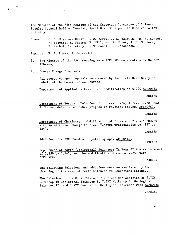The Minutes of the 86th Meeting of the Executive Committee of Science Faculty Council held on Tuesday, April 8 at 3:30 p.m. in Room 250 Allen Building.

Present: C. C. Bigelow, Chair; J. W. Berry, W. C. Baldwin, N. R. Hunter, K. Stewart, K. Sharma, H. Williams, K. Mount, J. P. McClure; P. Pachol, Secretary; J. McConnell, S. Johannson.

Regrets: N. E. Losey, A. Ogrodnick

- The Minutes of the 85th meeting were APPROVED on a motion by Hunter  $1.$ (Sharma)
- $2.$ Course Change Proposals

r

All course change proposals were moved by Associate Dean Berry on behalf of the Committee on Courses.

Department of Applied Mathematics: Modification of 6.220 APPROVED.

CARRIED

Department of Botany: Deletion of courses 1.726, 1.727, 1.728, and 1.729 and deletion of M.Sc. program in Physical Biology APPROVED.

CARRIED

Department of Chemistry: Modification of 2.124 and 2.224 APPROVED with an editorial change to 2.224 "Change prerequisite to: 127 or 124".

CARRIED

Addition of 2.7XX Chemical Crystallography APPROVED.

CARRIED

Department of Earth (Geological) Sciences: In Year II the replacement of 7.250 by 7.262, and the modification of course 7.251 were APPROVED.

CARRIED

The following deletions and additions were necessitated by the changing of the name of Earth Sciences to Geological Sciences.

The deletion of 7.750, 7.751, and 7.732 and the addition of 7.7XX Workshop in Geological Sciences I, 7.7XY Workshop in Geological Sciences II, and 7.7YX Seminar in Geological Sciences were APPROVED.

CARRIED

 $---2$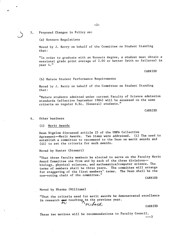3. Proposed Changes in Policy on:

(a) Honours Regulations

*04* 

Moved by J. Berry on behalf of the Committee on Student Standing that:

"In order to graduate with an Honours degree, a student must obtain a sessional grade point average of 2.00 or better (with no failures) in year 4."

CARRIED

(b) Mature Student Performance Requirements

Moved by J. Berry on behalf of the Committee on Student Standing that:

"Mature students admitted under current Faculty of Science admission standards (effective September 1984) will be assessed on the same criteria as regular B.Sc. (General) students."

CARRIED

## 4. Other business

Merit Awards

Dean Bigelow discussed article 25 of the UMFA Collective Agreement--Merit Awards. Two items were addressed. (i) The need to establish a committee to recommend to the Dean on merit awards and (ii) to set the criteria for such awards.

Moved by Hunter (Stewart)

"That three faculty members be elected to serve on the Faculty Merit Award Committee one from and by each of the three divisions- biology, physical sciences, and mathematics/computer science. The terms of members shall be three years. The committee will arrange for staggering of the first members' terms. The Dean shall be the non-voting chair of the committee."

CARRIED

Moved by Sharma (Williams)

"That the criteria used for merit awards be demonstrated excellence in research  $\frac{1}{4}$  teaching, in the previous year.  $\mathcal{P} \cup$  $\lambda_{\theta U}$ 

CARRIED

These two motions will be recommendations to Faculty Council.  $---3$